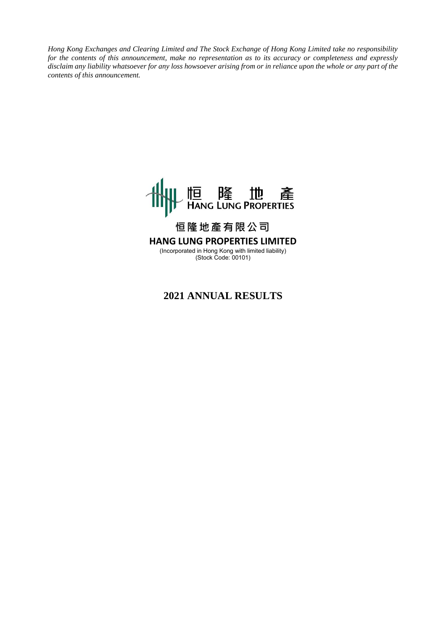*Hong Kong Exchanges and Clearing Limited and The Stock Exchange of Hong Kong Limited take no responsibility for the contents of this announcement, make no representation as to its accuracy or completeness and expressly disclaim any liability whatsoever for any loss howsoever arising from or in reliance upon the whole or any part of the contents of this announcement.*



# **恒隆地產有限公司 HANG LUNG PROPERTIES LIMITED**

(Incorporated in Hong Kong with limited liability) (Stock Code: 00101)

## **2021 ANNUAL RESULTS**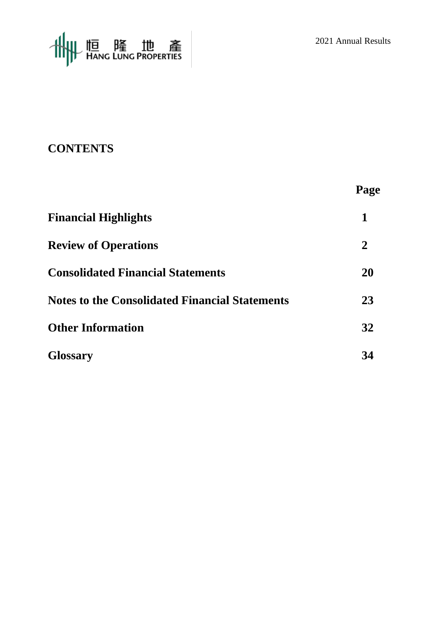

# **CONTENTS**

|                                                       | Page |
|-------------------------------------------------------|------|
| <b>Financial Highlights</b>                           |      |
| <b>Review of Operations</b>                           | 2    |
| <b>Consolidated Financial Statements</b>              | 20   |
| <b>Notes to the Consolidated Financial Statements</b> | 23   |
| <b>Other Information</b>                              | 32   |
| <b>Glossary</b>                                       | 34   |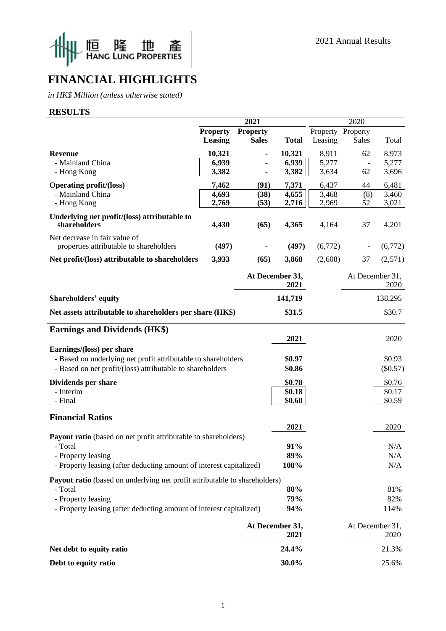



# **FINANCIAL HIGHLIGHTS**

*in HK\$ Million (unless otherwise stated)*

#### **RESULTS**

|                                                                                           | 2021            |                 | 2020                    |          |               |                         |
|-------------------------------------------------------------------------------------------|-----------------|-----------------|-------------------------|----------|---------------|-------------------------|
|                                                                                           | <b>Property</b> | <b>Property</b> |                         | Property | Property      |                         |
|                                                                                           | Leasing         | <b>Sales</b>    | <b>Total</b>            | Leasing  | Sales         | Total                   |
| Revenue                                                                                   | 10,321          |                 | 10,321                  | 8,911    | 62            | 8,973                   |
| - Mainland China                                                                          | 6,939           |                 | 6,939                   | 5,277    | $\frac{1}{2}$ | 5,277                   |
| - Hong Kong                                                                               | 3,382           |                 | 3,382                   | 3,634    | 62            | 3,696                   |
| <b>Operating profit/(loss)</b>                                                            | 7,462           | (91)            | 7,371                   | 6,437    | 44            | 6,481                   |
| - Mainland China                                                                          | 4,693           | (38)            | 4,655                   | 3,468    | (8)           | 3,460                   |
| - Hong Kong                                                                               | 2,769           | (53)            | 2,716                   | 2,969    | 52            | 3,021                   |
| Underlying net profit/(loss) attributable to<br>shareholders                              | 4,430           | (65)            | 4,365                   | 4,164    | 37            | 4,201                   |
| Net decrease in fair value of                                                             |                 |                 |                         |          |               |                         |
| properties attributable to shareholders                                                   | (497)           |                 | (497)                   | (6,772)  |               | (6,772)                 |
| Net profit/(loss) attributable to shareholders                                            | 3,933           | (65)            | 3,868                   | (2,608)  | 37            | (2,571)                 |
|                                                                                           |                 |                 | At December 31,<br>2021 |          |               | At December 31,<br>2020 |
| Shareholders' equity                                                                      |                 |                 | 141,719                 |          |               | 138,295                 |
| Net assets attributable to shareholders per share (HK\$)                                  |                 |                 | \$31.5                  |          |               | \$30.7                  |
| <b>Earnings and Dividends (HK\$)</b>                                                      |                 |                 |                         |          |               |                         |
|                                                                                           |                 |                 | 2021                    |          |               | 2020                    |
| Earnings/(loss) per share                                                                 |                 |                 |                         |          |               |                         |
| - Based on underlying net profit attributable to shareholders                             |                 |                 | \$0.97                  |          |               | \$0.93                  |
| - Based on net profit/(loss) attributable to shareholders                                 |                 |                 | \$0.86                  |          |               | $(\$0.57)$              |
| Dividends per share                                                                       |                 |                 | \$0.78                  |          |               | \$0.76                  |
| - Interim                                                                                 |                 |                 | \$0.18                  |          |               | \$0.17                  |
| - Final                                                                                   |                 |                 | \$0.60                  |          |               | \$0.59                  |
| <b>Financial Ratios</b>                                                                   |                 |                 |                         |          |               |                         |
|                                                                                           |                 |                 | 2021                    |          |               | 2020                    |
| Payout ratio (based on net profit attributable to shareholders)                           |                 |                 |                         |          |               |                         |
| - Total                                                                                   |                 |                 | 91%                     |          |               | N/A                     |
| - Property leasing<br>- Property leasing (after deducting amount of interest capitalized) |                 |                 | 89%<br>108%             |          |               | N/A<br>N/A              |
|                                                                                           |                 |                 |                         |          |               |                         |
| Payout ratio (based on underlying net profit attributable to shareholders)                |                 |                 |                         |          |               |                         |
| - Total                                                                                   |                 |                 | 80%                     |          |               | 81%                     |
| - Property leasing                                                                        |                 |                 | 79%                     |          |               | 82%                     |
| - Property leasing (after deducting amount of interest capitalized)                       |                 |                 | 94%                     |          |               | 114%                    |
|                                                                                           |                 |                 | At December 31,<br>2021 |          |               | At December 31,<br>2020 |
| Net debt to equity ratio                                                                  |                 |                 | 24.4%                   |          |               | 21.3%                   |
| Debt to equity ratio                                                                      |                 |                 | 30.0%                   |          |               | 25.6%                   |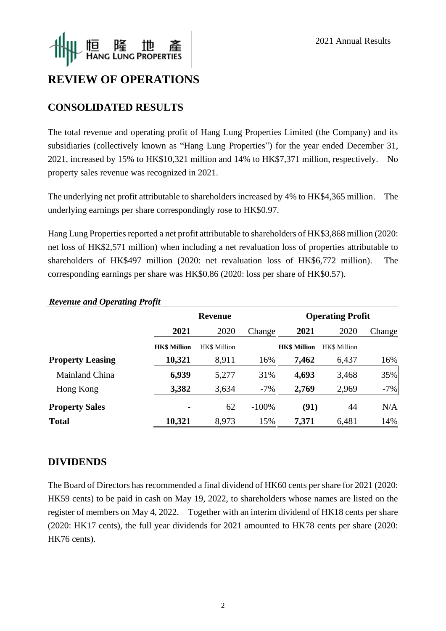

# **REVIEW OF OPERATIONS**

## **CONSOLIDATED RESULTS**

The total revenue and operating profit of Hang Lung Properties Limited (the Company) and its subsidiaries (collectively known as "Hang Lung Properties") for the year ended December 31, 2021, increased by 15% to HK\$10,321 million and 14% to HK\$7,371 million, respectively. No property sales revenue was recognized in 2021.

The underlying net profit attributable to shareholders increased by 4% to HK\$4,365 million. The underlying earnings per share correspondingly rose to HK\$0.97.

Hang Lung Properties reported a net profit attributable to shareholders of HK\$3,868 million (2020: net loss of HK\$2,571 million) when including a net revaluation loss of properties attributable to shareholders of HK\$497 million (2020: net revaluation loss of HK\$6,772 million). The corresponding earnings per share was HK\$0.86 (2020: loss per share of HK\$0.57).

|                         |                     | <b>Revenue</b>      |         |                     | <b>Operating Profit</b> |        |
|-------------------------|---------------------|---------------------|---------|---------------------|-------------------------|--------|
|                         | 2021                | 2020                | Change  | 2021                | 2020                    | Change |
|                         | <b>HK\$ Million</b> | <b>HK\$</b> Million |         | <b>HK\$ Million</b> | <b>HK\$</b> Million     |        |
| <b>Property Leasing</b> | 10,321              | 8,911               | 16%     | 7,462               | 6,437                   | 16%    |
| Mainland China          | 6,939               | 5,277               | 31%     | 4,693               | 3,468                   | 35%    |
| Hong Kong               | 3,382               | 3,634               | $-7%$   | 2,769               | 2,969                   | $-7%$  |
| <b>Property Sales</b>   |                     | 62                  | $-100%$ | (91)                | 44                      | N/A    |
| <b>Total</b>            | 10,321              | 8,973               | 15%     | 7,371               | 6,481                   | 14%    |

## *Revenue and Operating Profit*

## **DIVIDENDS**

The Board of Directors has recommended a final dividend of HK60 cents per share for 2021 (2020: HK59 cents) to be paid in cash on May 19, 2022, to shareholders whose names are listed on the register of members on May 4, 2022. Together with an interim dividend of HK18 cents per share (2020: HK17 cents), the full year dividends for 2021 amounted to HK78 cents per share (2020: HK76 cents).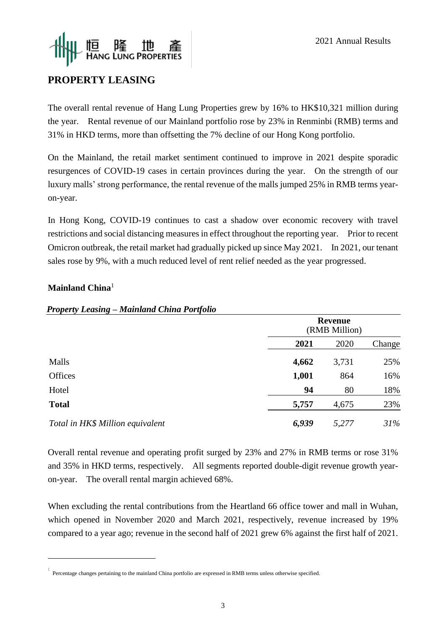

## **PROPERTY LEASING**

The overall rental revenue of Hang Lung Properties grew by 16% to HK\$10,321 million during the year. Rental revenue of our Mainland portfolio rose by 23% in Renminbi (RMB) terms and 31% in HKD terms, more than offsetting the 7% decline of our Hong Kong portfolio.

On the Mainland, the retail market sentiment continued to improve in 2021 despite sporadic resurgences of COVID-19 cases in certain provinces during the year. On the strength of our luxury malls' strong performance, the rental revenue of the malls jumped 25% in RMB terms yearon-year.

In Hong Kong, COVID-19 continues to cast a shadow over economic recovery with travel restrictions and social distancing measures in effect throughout the reporting year. Prior to recent Omicron outbreak, the retail market had gradually picked up since May 2021. In 2021, our tenant sales rose by 9%, with a much reduced level of rent relief needed as the year progressed.

#### **Mainland China**<sup>1</sup>

|                                  | <b>Revenue</b><br>(RMB Million) |       |        |  |
|----------------------------------|---------------------------------|-------|--------|--|
|                                  | 2021                            | 2020  | Change |  |
| Malls                            | 4,662                           | 3,731 | 25%    |  |
| Offices                          | 1,001                           | 864   | 16%    |  |
| Hotel                            | 94                              | 80    | 18%    |  |
| <b>Total</b>                     | 5,757                           | 4,675 | 23%    |  |
| Total in HK\$ Million equivalent | 6,939                           | 5,277 | 31%    |  |

#### *Property Leasing – Mainland China Portfolio*

Overall rental revenue and operating profit surged by 23% and 27% in RMB terms or rose 31% and 35% in HKD terms, respectively. All segments reported double-digit revenue growth yearon-year. The overall rental margin achieved 68%.

When excluding the rental contributions from the Heartland 66 office tower and mall in Wuhan, which opened in November 2020 and March 2021, respectively, revenue increased by 19% compared to a year ago; revenue in the second half of 2021 grew 6% against the first half of 2021.

<sup>&</sup>lt;sup>1</sup> Percentage changes pertaining to the mainland China portfolio are expressed in RMB terms unless otherwise specified.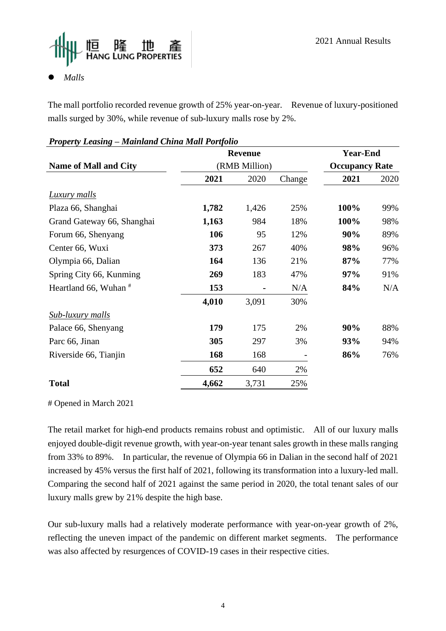

## ⚫ *Malls*

The mall portfolio recorded revenue growth of 25% year-on-year. Revenue of luxury-positioned malls surged by 30%, while revenue of sub-luxury malls rose by 2%.

| Property Leasing – Mainiana Unina Mail Portfolio |               |                |        |                       |      |
|--------------------------------------------------|---------------|----------------|--------|-----------------------|------|
|                                                  |               | <b>Revenue</b> |        | <b>Year-End</b>       |      |
| <b>Name of Mall and City</b>                     | (RMB Million) |                |        | <b>Occupancy Rate</b> |      |
|                                                  | 2021          | 2020           | Change | 2021                  | 2020 |
| <b>Luxury malls</b>                              |               |                |        |                       |      |
| Plaza 66, Shanghai                               | 1,782         | 1,426          | 25%    | 100%                  | 99%  |
| Grand Gateway 66, Shanghai                       | 1,163         | 984            | 18%    | 100%                  | 98%  |
| Forum 66, Shenyang                               | 106           | 95             | 12%    | 90%                   | 89%  |
| Center 66, Wuxi                                  | 373           | 267            | 40%    | 98%                   | 96%  |
| Olympia 66, Dalian                               | 164           | 136            | 21%    | 87%                   | 77%  |
| Spring City 66, Kunming                          | 269           | 183            | 47%    | 97%                   | 91%  |
| Heartland 66, Wuhan <sup>#</sup>                 | 153           |                | N/A    | 84%                   | N/A  |
|                                                  | 4,010         | 3,091          | 30%    |                       |      |
| <b>Sub-luxury malls</b>                          |               |                |        |                       |      |
| Palace 66, Shenyang                              | 179           | 175            | 2%     | 90%                   | 88%  |
| Parc 66, Jinan                                   | 305           | 297            | 3%     | 93%                   | 94%  |
| Riverside 66, Tianjin                            | 168           | 168            |        | 86%                   | 76%  |
|                                                  | 652           | 640            | 2%     |                       |      |
| <b>Total</b>                                     | 4,662         | 3,731          | 25%    |                       |      |

## *Property Leasing – Mainland China Mall Portfolio*

# Opened in March 2021

The retail market for high-end products remains robust and optimistic. All of our luxury malls enjoyed double-digit revenue growth, with year-on-year tenant sales growth in these malls ranging from 33% to 89%. In particular, the revenue of Olympia 66 in Dalian in the second half of 2021 increased by 45% versus the first half of 2021, following its transformation into a luxury-led mall. Comparing the second half of 2021 against the same period in 2020, the total tenant sales of our luxury malls grew by 21% despite the high base.

Our sub-luxury malls had a relatively moderate performance with year-on-year growth of 2%, reflecting the uneven impact of the pandemic on different market segments. The performance was also affected by resurgences of COVID-19 cases in their respective cities.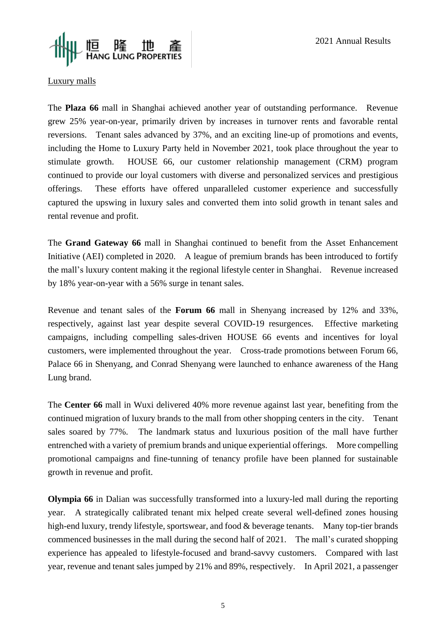

#### Luxury malls

The **Plaza 66** mall in Shanghai achieved another year of outstanding performance. Revenue grew 25% year-on-year, primarily driven by increases in turnover rents and favorable rental reversions. Tenant sales advanced by 37%, and an exciting line-up of promotions and events, including the Home to Luxury Party held in November 2021, took place throughout the year to stimulate growth. HOUSE 66, our customer relationship management (CRM) program continued to provide our loyal customers with diverse and personalized services and prestigious offerings. These efforts have offered unparalleled customer experience and successfully captured the upswing in luxury sales and converted them into solid growth in tenant sales and rental revenue and profit.

The **Grand Gateway 66** mall in Shanghai continued to benefit from the Asset Enhancement Initiative (AEI) completed in 2020. A league of premium brands has been introduced to fortify the mall's luxury content making it the regional lifestyle center in Shanghai. Revenue increased by 18% year-on-year with a 56% surge in tenant sales.

Revenue and tenant sales of the **Forum 66** mall in Shenyang increased by 12% and 33%, respectively, against last year despite several COVID-19 resurgences. Effective marketing campaigns, including compelling sales-driven HOUSE 66 events and incentives for loyal customers, were implemented throughout the year. Cross-trade promotions between Forum 66, Palace 66 in Shenyang, and Conrad Shenyang were launched to enhance awareness of the Hang Lung brand.

The **Center 66** mall in Wuxi delivered 40% more revenue against last year, benefiting from the continued migration of luxury brands to the mall from other shopping centers in the city. Tenant sales soared by 77%. The landmark status and luxurious position of the mall have further entrenched with a variety of premium brands and unique experiential offerings. More compelling promotional campaigns and fine-tunning of tenancy profile have been planned for sustainable growth in revenue and profit.

**Olympia 66** in Dalian was successfully transformed into a luxury-led mall during the reporting year. A strategically calibrated tenant mix helped create several well-defined zones housing high-end luxury, trendy lifestyle, sportswear, and food & beverage tenants. Many top-tier brands commenced businesses in the mall during the second half of 2021. The mall's curated shopping experience has appealed to lifestyle-focused and brand-savvy customers. Compared with last year, revenue and tenant sales jumped by 21% and 89%, respectively. In April 2021, a passenger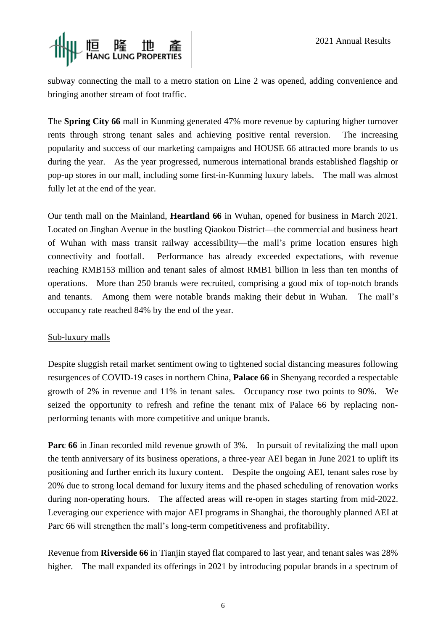

subway connecting the mall to a metro station on Line 2 was opened, adding convenience and bringing another stream of foot traffic.

The **Spring City 66** mall in Kunming generated 47% more revenue by capturing higher turnover rents through strong tenant sales and achieving positive rental reversion. The increasing popularity and success of our marketing campaigns and HOUSE 66 attracted more brands to us during the year. As the year progressed, numerous international brands established flagship or pop-up stores in our mall, including some first-in-Kunming luxury labels. The mall was almost fully let at the end of the year.

Our tenth mall on the Mainland, **Heartland 66** in Wuhan, opened for business in March 2021. Located on Jinghan Avenue in the bustling Qiaokou District—the commercial and business heart of Wuhan with mass transit railway accessibility—the mall's prime location ensures high connectivity and footfall. Performance has already exceeded expectations, with revenue reaching RMB153 million and tenant sales of almost RMB1 billion in less than ten months of operations. More than 250 brands were recruited, comprising a good mix of top-notch brands and tenants. Among them were notable brands making their debut in Wuhan. The mall's occupancy rate reached 84% by the end of the year.

#### Sub-luxury malls

Despite sluggish retail market sentiment owing to tightened social distancing measures following resurgences of COVID-19 cases in northern China, **Palace 66** in Shenyang recorded a respectable growth of 2% in revenue and 11% in tenant sales. Occupancy rose two points to 90%. We seized the opportunity to refresh and refine the tenant mix of Palace 66 by replacing nonperforming tenants with more competitive and unique brands.

**Parc 66** in Jinan recorded mild revenue growth of 3%. In pursuit of revitalizing the mall upon the tenth anniversary of its business operations, a three-year AEI began in June 2021 to uplift its positioning and further enrich its luxury content. Despite the ongoing AEI, tenant sales rose by 20% due to strong local demand for luxury items and the phased scheduling of renovation works during non-operating hours. The affected areas will re-open in stages starting from mid-2022. Leveraging our experience with major AEI programs in Shanghai, the thoroughly planned AEI at Parc 66 will strengthen the mall's long-term competitiveness and profitability.

Revenue from **Riverside 66** in Tianjin stayed flat compared to last year, and tenant sales was 28% higher. The mall expanded its offerings in 2021 by introducing popular brands in a spectrum of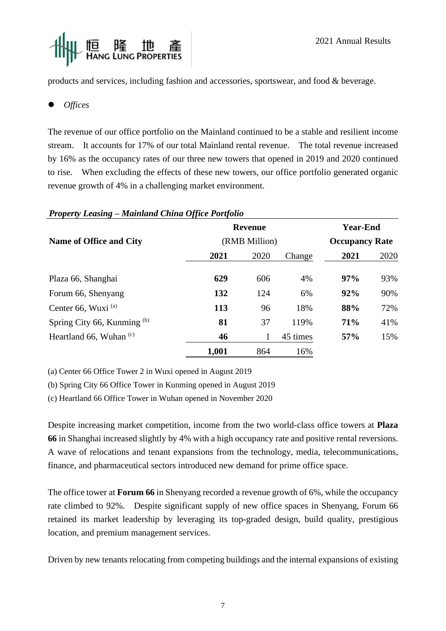

products and services, including fashion and accessories, sportswear, and food & beverage.

⚫ *Offices*

The revenue of our office portfolio on the Mainland continued to be a stable and resilient income stream. It accounts for 17% of our total Mainland rental revenue. The total revenue increased by 16% as the occupancy rates of our three new towers that opened in 2019 and 2020 continued to rise. When excluding the effects of these new towers, our office portfolio generated organic revenue growth of 4% in a challenging market environment.

| $\Gamma$ roperty Leasing – Mainiana Unina Office Fortfolio |                                 |      |          |                                          |      |  |
|------------------------------------------------------------|---------------------------------|------|----------|------------------------------------------|------|--|
|                                                            | <b>Revenue</b><br>(RMB Million) |      |          | <b>Year-End</b><br><b>Occupancy Rate</b> |      |  |
| <b>Name of Office and City</b>                             |                                 |      |          |                                          |      |  |
|                                                            | 2021                            | 2020 | Change   | 2021                                     | 2020 |  |
| Plaza 66, Shanghai                                         | 629                             | 606  | 4%       | 97%                                      | 93%  |  |
| Forum 66, Shenyang                                         | 132                             | 124  | 6%       | 92%                                      | 90%  |  |
| Center 66, Wuxi <sup>(a)</sup>                             | 113                             | 96   | 18%      | 88%                                      | 72%  |  |
| Spring City 66, Kunming (b)                                | 81                              | 37   | 119%     | 71%                                      | 41%  |  |
| Heartland 66, Wuhan $(c)$                                  | 46                              | 1    | 45 times | 57%                                      | 15%  |  |
|                                                            | 1,001                           | 864  | 16%      |                                          |      |  |

## *Property Leasing – Mainland China Office Portfolio*

(a) Center 66 Office Tower 2 in Wuxi opened in August 2019

(b) Spring City 66 Office Tower in Kunming opened in August 2019

(c) Heartland 66 Office Tower in Wuhan opened in November 2020

Despite increasing market competition, income from the two world-class office towers at **Plaza 66** in Shanghai increased slightly by 4% with a high occupancy rate and positive rental reversions. A wave of relocations and tenant expansions from the technology, media, telecommunications, finance, and pharmaceutical sectors introduced new demand for prime office space.

The office tower at **Forum 66** in Shenyang recorded a revenue growth of 6%, while the occupancy rate climbed to 92%. Despite significant supply of new office spaces in Shenyang, Forum 66 retained its market leadership by leveraging its top-graded design, build quality, prestigious location, and premium management services.

Driven by new tenants relocating from competing buildings and the internal expansions of existing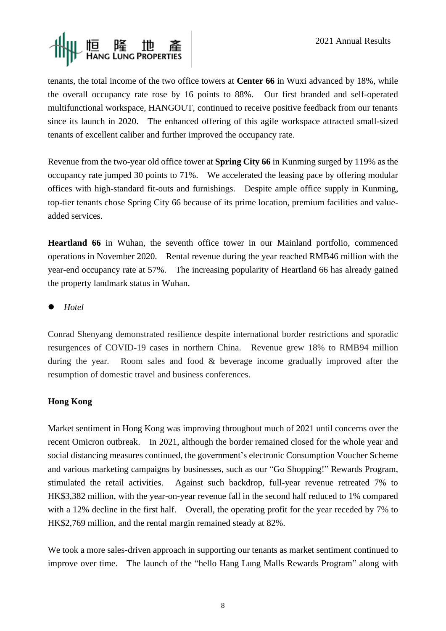

tenants, the total income of the two office towers at **Center 66** in Wuxi advanced by 18%, while the overall occupancy rate rose by 16 points to 88%. Our first branded and self-operated multifunctional workspace, HANGOUT, continued to receive positive feedback from our tenants since its launch in 2020. The enhanced offering of this agile workspace attracted small-sized tenants of excellent caliber and further improved the occupancy rate.

Revenue from the two-year old office tower at **Spring City 66** in Kunming surged by 119% as the occupancy rate jumped 30 points to 71%. We accelerated the leasing pace by offering modular offices with high-standard fit-outs and furnishings. Despite ample office supply in Kunming, top-tier tenants chose Spring City 66 because of its prime location, premium facilities and valueadded services.

**Heartland 66** in Wuhan, the seventh office tower in our Mainland portfolio, commenced operations in November 2020. Rental revenue during the year reached RMB46 million with the year-end occupancy rate at 57%. The increasing popularity of Heartland 66 has already gained the property landmark status in Wuhan.

⚫ *Hotel*

Conrad Shenyang demonstrated resilience despite international border restrictions and sporadic resurgences of COVID-19 cases in northern China. Revenue grew 18% to RMB94 million during the year. Room sales and food & beverage income gradually improved after the resumption of domestic travel and business conferences.

## **Hong Kong**

Market sentiment in Hong Kong was improving throughout much of 2021 until concerns over the recent Omicron outbreak. In 2021, although the border remained closed for the whole year and social distancing measures continued, the government's electronic Consumption Voucher Scheme and various marketing campaigns by businesses, such as our "Go Shopping!" Rewards Program, stimulated the retail activities. Against such backdrop, full-year revenue retreated 7% to HK\$3,382 million, with the year-on-year revenue fall in the second half reduced to 1% compared with a 12% decline in the first half. Overall, the operating profit for the year receded by 7% to HK\$2,769 million, and the rental margin remained steady at 82%.

We took a more sales-driven approach in supporting our tenants as market sentiment continued to improve over time. The launch of the "hello Hang Lung Malls Rewards Program" along with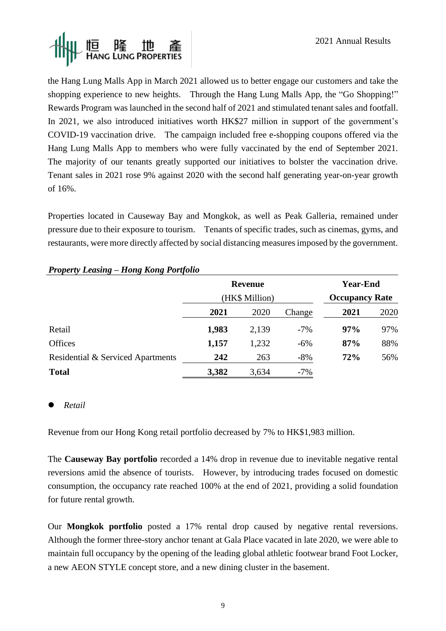

the Hang Lung Malls App in March 2021 allowed us to better engage our customers and take the shopping experience to new heights. Through the Hang Lung Malls App, the "Go Shopping!" Rewards Program was launched in the second half of 2021 and stimulated tenant sales and footfall. In 2021, we also introduced initiatives worth HK\$27 million in support of the government's COVID-19 vaccination drive. The campaign included free e-shopping coupons offered via the Hang Lung Malls App to members who were fully vaccinated by the end of September 2021. The majority of our tenants greatly supported our initiatives to bolster the vaccination drive. Tenant sales in 2021 rose 9% against 2020 with the second half generating year-on-year growth of 16%.

Properties located in Causeway Bay and Mongkok, as well as Peak Galleria, remained under pressure due to their exposure to tourism. Tenants of specific trades, such as cinemas, gyms, and restaurants, were more directly affected by social distancing measures imposed by the government.

|                                   |                | <b>Revenue</b> |        | <b>Year-End</b>       |      |  |
|-----------------------------------|----------------|----------------|--------|-----------------------|------|--|
|                                   | (HK\$ Million) |                |        | <b>Occupancy Rate</b> |      |  |
|                                   | 2021           | 2020           | Change | 2021                  | 2020 |  |
| Retail                            | 1,983          | 2,139          | $-7\%$ | 97%                   | 97%  |  |
| <b>Offices</b>                    | 1,157          | 1,232          | $-6%$  | 87%                   | 88%  |  |
| Residential & Serviced Apartments | 242            | 263            | $-8\%$ | 72%                   | 56%  |  |
| <b>Total</b>                      | 3,382          | 3,634          | $-7%$  |                       |      |  |

#### *Property Leasing – Hong Kong Portfolio*

#### ⚫ *Retail*

Revenue from our Hong Kong retail portfolio decreased by 7% to HK\$1,983 million.

The **Causeway Bay portfolio** recorded a 14% drop in revenue due to inevitable negative rental reversions amid the absence of tourists. However, by introducing trades focused on domestic consumption, the occupancy rate reached 100% at the end of 2021, providing a solid foundation for future rental growth.

Our **Mongkok portfolio** posted a 17% rental drop caused by negative rental reversions. Although the former three-story anchor tenant at Gala Place vacated in late 2020, we were able to maintain full occupancy by the opening of the leading global athletic footwear brand Foot Locker, a new AEON STYLE concept store, and a new dining cluster in the basement.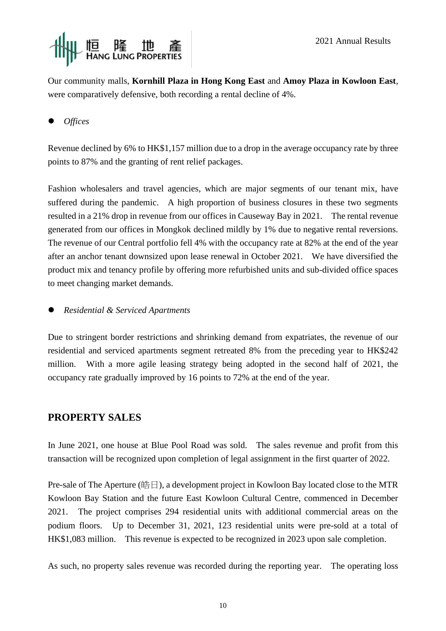

Our community malls, **Kornhill Plaza in Hong Kong East** and **Amoy Plaza in Kowloon East**, were comparatively defensive, both recording a rental decline of 4%.

## ⚫ *Offices*

Revenue declined by 6% to HK\$1,157 million due to a drop in the average occupancy rate by three points to 87% and the granting of rent relief packages.

Fashion wholesalers and travel agencies, which are major segments of our tenant mix, have suffered during the pandemic. A high proportion of business closures in these two segments resulted in a 21% drop in revenue from our offices in Causeway Bay in 2021. The rental revenue generated from our offices in Mongkok declined mildly by 1% due to negative rental reversions. The revenue of our Central portfolio fell 4% with the occupancy rate at 82% at the end of the year after an anchor tenant downsized upon lease renewal in October 2021. We have diversified the product mix and tenancy profile by offering more refurbished units and sub-divided office spaces to meet changing market demands.

## ⚫ *Residential & Serviced Apartments*

Due to stringent border restrictions and shrinking demand from expatriates, the revenue of our residential and serviced apartments segment retreated 8% from the preceding year to HK\$242 million. With a more agile leasing strategy being adopted in the second half of 2021, the occupancy rate gradually improved by 16 points to 72% at the end of the year.

## **PROPERTY SALES**

In June 2021, one house at Blue Pool Road was sold. The sales revenue and profit from this transaction will be recognized upon completion of legal assignment in the first quarter of 2022.

Pre-sale of The Aperture (皓日), a development project in Kowloon Bay located close to the MTR Kowloon Bay Station and the future East Kowloon Cultural Centre, commenced in December 2021. The project comprises 294 residential units with additional commercial areas on the podium floors. Up to December 31, 2021, 123 residential units were pre-sold at a total of HK\$1,083 million. This revenue is expected to be recognized in 2023 upon sale completion.

As such, no property sales revenue was recorded during the reporting year. The operating loss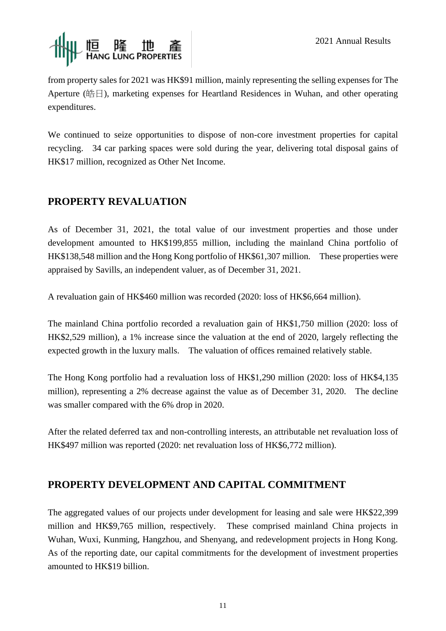

from property sales for 2021 was HK\$91 million, mainly representing the selling expenses for The Aperture (皓日), marketing expenses for Heartland Residences in Wuhan, and other operating expenditures.

We continued to seize opportunities to dispose of non-core investment properties for capital recycling. 34 car parking spaces were sold during the year, delivering total disposal gains of HK\$17 million, recognized as Other Net Income.

## **PROPERTY REVALUATION**

As of December 31, 2021, the total value of our investment properties and those under development amounted to HK\$199,855 million, including the mainland China portfolio of HK\$138,548 million and the Hong Kong portfolio of HK\$61,307 million. These properties were appraised by Savills, an independent valuer, as of December 31, 2021.

A revaluation gain of HK\$460 million was recorded (2020: loss of HK\$6,664 million).

The mainland China portfolio recorded a revaluation gain of HK\$1,750 million (2020: loss of HK\$2,529 million), a 1% increase since the valuation at the end of 2020, largely reflecting the expected growth in the luxury malls. The valuation of offices remained relatively stable.

The Hong Kong portfolio had a revaluation loss of HK\$1,290 million (2020: loss of HK\$4,135 million), representing a 2% decrease against the value as of December 31, 2020. The decline was smaller compared with the 6% drop in 2020.

After the related deferred tax and non-controlling interests, an attributable net revaluation loss of HK\$497 million was reported (2020: net revaluation loss of HK\$6,772 million).

## **PROPERTY DEVELOPMENT AND CAPITAL COMMITMENT**

The aggregated values of our projects under development for leasing and sale were HK\$22,399 million and HK\$9,765 million, respectively. These comprised mainland China projects in Wuhan, Wuxi, Kunming, Hangzhou, and Shenyang, and redevelopment projects in Hong Kong. As of the reporting date, our capital commitments for the development of investment properties amounted to HK\$19 billion.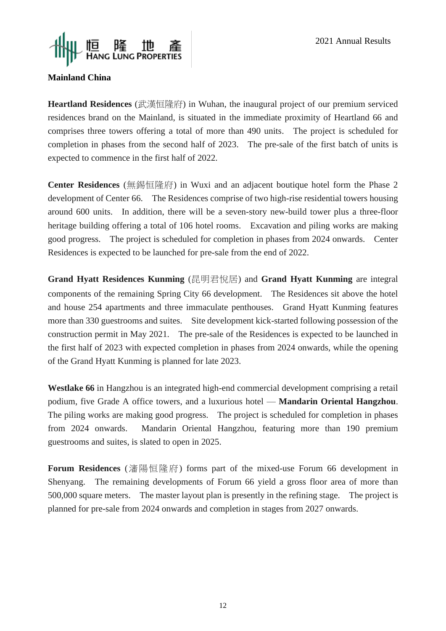

#### **Mainland China**

Heartland Residences (武漢恒隆府) in Wuhan, the inaugural project of our premium serviced residences brand on the Mainland, is situated in the immediate proximity of Heartland 66 and comprises three towers offering a total of more than 490 units. The project is scheduled for completion in phases from the second half of 2023. The pre-sale of the first batch of units is expected to commence in the first half of 2022.

**Center Residences** (無錫恒隆府) in Wuxi and an adjacent boutique hotel form the Phase 2 development of Center 66. The Residences comprise of two high-rise residential towers housing around 600 units. In addition, there will be a seven-story new-build tower plus a three-floor heritage building offering a total of 106 hotel rooms. Excavation and piling works are making good progress. The project is scheduled for completion in phases from 2024 onwards. Center Residences is expected to be launched for pre-sale from the end of 2022.

**Grand Hyatt Residences Kunming** (昆明君悅居) and **Grand Hyatt Kunming** are integral components of the remaining Spring City 66 development. The Residences sit above the hotel and house 254 apartments and three immaculate penthouses. Grand Hyatt Kunming features more than 330 guestrooms and suites. Site development kick-started following possession of the construction permit in May 2021. The pre-sale of the Residences is expected to be launched in the first half of 2023 with expected completion in phases from 2024 onwards, while the opening of the Grand Hyatt Kunming is planned for late 2023.

**Westlake 66** in Hangzhou is an integrated high-end commercial development comprising a retail podium, five Grade A office towers, and a luxurious hotel — **Mandarin Oriental Hangzhou**. The piling works are making good progress. The project is scheduled for completion in phases from 2024 onwards. Mandarin Oriental Hangzhou, featuring more than 190 premium guestrooms and suites, is slated to open in 2025.

**Forum Residences** (瀋陽恒隆府) forms part of the mixed-use Forum 66 development in Shenyang. The remaining developments of Forum 66 yield a gross floor area of more than 500,000 square meters. The master layout plan is presently in the refining stage. The project is planned for pre-sale from 2024 onwards and completion in stages from 2027 onwards.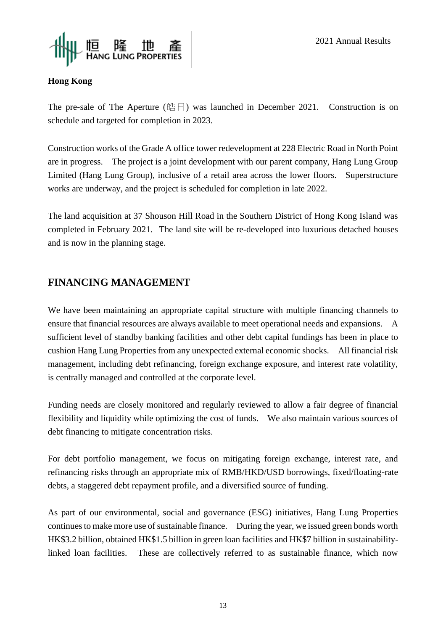

## **Hong Kong**

The pre-sale of The Aperture (皓日) was launched in December 2021. Construction is on schedule and targeted for completion in 2023.

Construction works of the Grade A office tower redevelopment at 228 Electric Road in North Point are in progress. The project is a joint development with our parent company, Hang Lung Group Limited (Hang Lung Group), inclusive of a retail area across the lower floors. Superstructure works are underway, and the project is scheduled for completion in late 2022.

The land acquisition at 37 Shouson Hill Road in the Southern District of Hong Kong Island was completed in February 2021. The land site will be re-developed into luxurious detached houses and is now in the planning stage.

## **FINANCING MANAGEMENT**

We have been maintaining an appropriate capital structure with multiple financing channels to ensure that financial resources are always available to meet operational needs and expansions. A sufficient level of standby banking facilities and other debt capital fundings has been in place to cushion Hang Lung Properties from any unexpected external economic shocks. All financial risk management, including debt refinancing, foreign exchange exposure, and interest rate volatility, is centrally managed and controlled at the corporate level.

Funding needs are closely monitored and regularly reviewed to allow a fair degree of financial flexibility and liquidity while optimizing the cost of funds. We also maintain various sources of debt financing to mitigate concentration risks.

For debt portfolio management, we focus on mitigating foreign exchange, interest rate, and refinancing risks through an appropriate mix of RMB/HKD/USD borrowings, fixed/floating-rate debts, a staggered debt repayment profile, and a diversified source of funding.

As part of our environmental, social and governance (ESG) initiatives, Hang Lung Properties continues to make more use of sustainable finance. During the year, we issued green bonds worth HK\$3.2 billion, obtained HK\$1.5 billion in green loan facilities and HK\$7 billion in sustainabilitylinked loan facilities. These are collectively referred to as sustainable finance, which now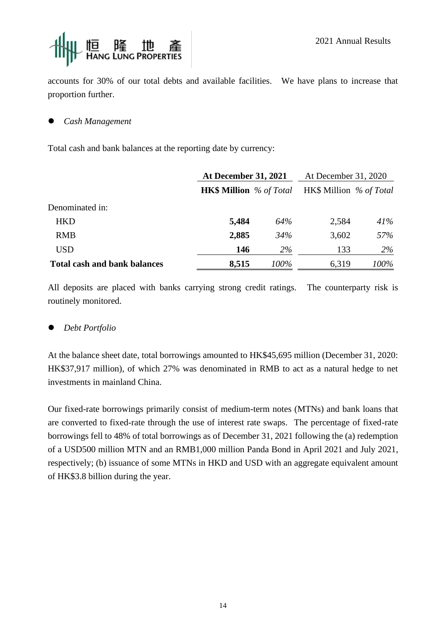

accounts for 30% of our total debts and available facilities. We have plans to increase that proportion further.

#### ⚫ *Cash Management*

Total cash and bank balances at the reporting date by currency:

|                                     | <b>At December 31, 2021</b>    |           | At December 31, 2020    |      |  |
|-------------------------------------|--------------------------------|-----------|-------------------------|------|--|
|                                     | <b>HK\$ Million</b> % of Total |           | HK\$ Million % of Total |      |  |
| Denominated in:                     |                                |           |                         |      |  |
| <b>HKD</b>                          | 5,484                          | 64%       | 2,584                   | 41%  |  |
| <b>RMB</b>                          | 2,885                          | 34%       | 3,602                   | 57%  |  |
| USD                                 | 146                            | <b>2%</b> | 133                     | 2%   |  |
| <b>Total cash and bank balances</b> | 8,515                          | 100%      | 6,319                   | 100% |  |

All deposits are placed with banks carrying strong credit ratings. The counterparty risk is routinely monitored.

## ⚫ *Debt Portfolio*

At the balance sheet date, total borrowings amounted to HK\$45,695 million (December 31, 2020: HK\$37,917 million), of which 27% was denominated in RMB to act as a natural hedge to net investments in mainland China.

Our fixed-rate borrowings primarily consist of medium-term notes (MTNs) and bank loans that are converted to fixed-rate through the use of interest rate swaps. The percentage of fixed-rate borrowings fell to 48% of total borrowings as of December 31, 2021 following the (a) redemption of a USD500 million MTN and an RMB1,000 million Panda Bond in April 2021 and July 2021, respectively; (b) issuance of some MTNs in HKD and USD with an aggregate equivalent amount of HK\$3.8 billion during the year.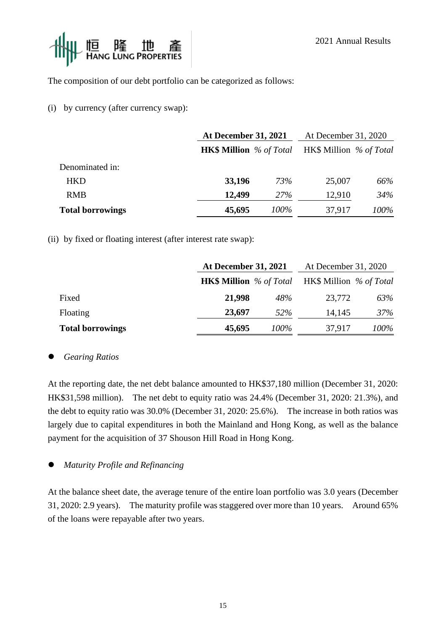

The composition of our debt portfolio can be categorized as follows:

(i) by currency (after currency swap):

|                         | <b>At December 31, 2021</b>    | At December 31, 2020 |                         |      |
|-------------------------|--------------------------------|----------------------|-------------------------|------|
|                         | <b>HK\$ Million</b> % of Total |                      | HK\$ Million % of Total |      |
| Denominated in:         |                                |                      |                         |      |
| <b>HKD</b>              | 33,196                         | 73%                  | 25,007                  | 66%  |
| <b>RMB</b>              | 12,499                         | <b>27%</b>           | 12,910                  | 34%  |
| <b>Total borrowings</b> | 45,695                         | 100%                 | 37,917                  | 100% |

(ii) by fixed or floating interest (after interest rate swap):

|                         |                                | <b>At December 31, 2021</b> |                         | At December 31, 2020 |
|-------------------------|--------------------------------|-----------------------------|-------------------------|----------------------|
|                         | <b>HK\$ Million</b> % of Total |                             | HK\$ Million % of Total |                      |
| Fixed                   | 21,998                         | 48%                         | 23,772                  | 63%                  |
| Floating                | 23,697                         | 52%                         | 14,145                  | 37%                  |
| <b>Total borrowings</b> | 45,695                         | 100%                        | 37,917                  | 100%                 |

#### ⚫ *Gearing Ratios*

At the reporting date, the net debt balance amounted to HK\$37,180 million (December 31, 2020: HK\$31,598 million). The net debt to equity ratio was 24.4% (December 31, 2020: 21.3%), and the debt to equity ratio was 30.0% (December 31, 2020: 25.6%). The increase in both ratios was largely due to capital expenditures in both the Mainland and Hong Kong, as well as the balance payment for the acquisition of 37 Shouson Hill Road in Hong Kong.

#### ⚫ *Maturity Profile and Refinancing*

At the balance sheet date, the average tenure of the entire loan portfolio was 3.0 years (December 31, 2020: 2.9 years). The maturity profile was staggered over more than 10 years. Around 65% of the loans were repayable after two years.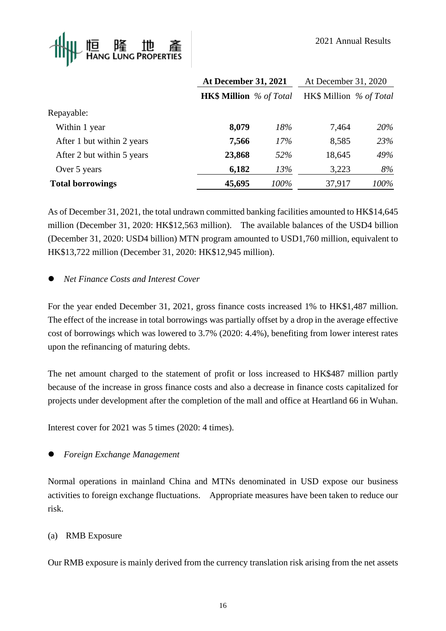

|                            | <b>At December 31, 2021</b>    |      | At December 31, 2020    |      |
|----------------------------|--------------------------------|------|-------------------------|------|
|                            | <b>HK\$ Million</b> % of Total |      | HK\$ Million % of Total |      |
| Repayable:                 |                                |      |                         |      |
| Within 1 year              | 8,079                          | 18%  | 7,464                   | 20%  |
| After 1 but within 2 years | 7,566                          | 17%  | 8,585                   | 23%  |
| After 2 but within 5 years | 23,868                         | 52%  | 18,645                  | 49%  |
| Over 5 years               | 6,182                          | 13%  | 3,223                   | 8%   |
| <b>Total borrowings</b>    | 45,695                         | 100% | 37,917                  | 100% |

As of December 31, 2021, the total undrawn committed banking facilities amounted to HK\$14,645 million (December 31, 2020: HK\$12,563 million). The available balances of the USD4 billion (December 31, 2020: USD4 billion) MTN program amounted to USD1,760 million, equivalent to HK\$13,722 million (December 31, 2020: HK\$12,945 million).

## ⚫ *Net Finance Costs and Interest Cover*

For the year ended December 31, 2021, gross finance costs increased 1% to HK\$1,487 million. The effect of the increase in total borrowings was partially offset by a drop in the average effective cost of borrowings which was lowered to 3.7% (2020: 4.4%), benefiting from lower interest rates upon the refinancing of maturing debts.

The net amount charged to the statement of profit or loss increased to HK\$487 million partly because of the increase in gross finance costs and also a decrease in finance costs capitalized for projects under development after the completion of the mall and office at Heartland 66 in Wuhan.

Interest cover for 2021 was 5 times (2020: 4 times).

⚫ *Foreign Exchange Management* 

Normal operations in mainland China and MTNs denominated in USD expose our business activities to foreign exchange fluctuations. Appropriate measures have been taken to reduce our risk.

#### (a) RMB Exposure

Our RMB exposure is mainly derived from the currency translation risk arising from the net assets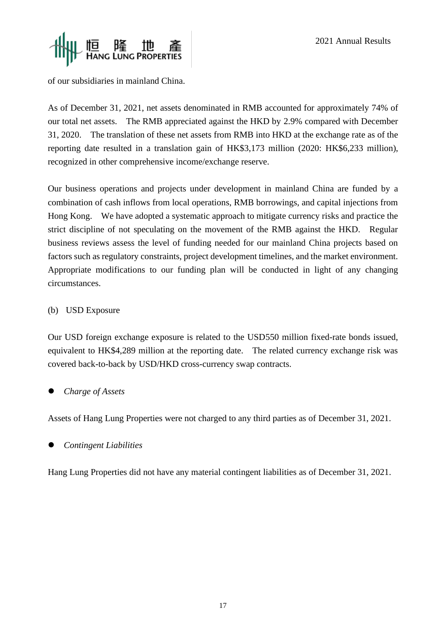



of our subsidiaries in mainland China.

As of December 31, 2021, net assets denominated in RMB accounted for approximately 74% of our total net assets. The RMB appreciated against the HKD by 2.9% compared with December 31, 2020. The translation of these net assets from RMB into HKD at the exchange rate as of the reporting date resulted in a translation gain of HK\$3,173 million (2020: HK\$6,233 million), recognized in other comprehensive income/exchange reserve.

Our business operations and projects under development in mainland China are funded by a combination of cash inflows from local operations, RMB borrowings, and capital injections from Hong Kong. We have adopted a systematic approach to mitigate currency risks and practice the strict discipline of not speculating on the movement of the RMB against the HKD. Regular business reviews assess the level of funding needed for our mainland China projects based on factors such as regulatory constraints, project development timelines, and the market environment. Appropriate modifications to our funding plan will be conducted in light of any changing circumstances.

#### (b) USD Exposure

Our USD foreign exchange exposure is related to the USD550 million fixed-rate bonds issued, equivalent to HK\$4,289 million at the reporting date. The related currency exchange risk was covered back-to-back by USD/HKD cross-currency swap contracts.

## ⚫ *Charge of Assets*

Assets of Hang Lung Properties were not charged to any third parties as of December 31, 2021.

⚫ *Contingent Liabilities*

Hang Lung Properties did not have any material contingent liabilities as of December 31, 2021.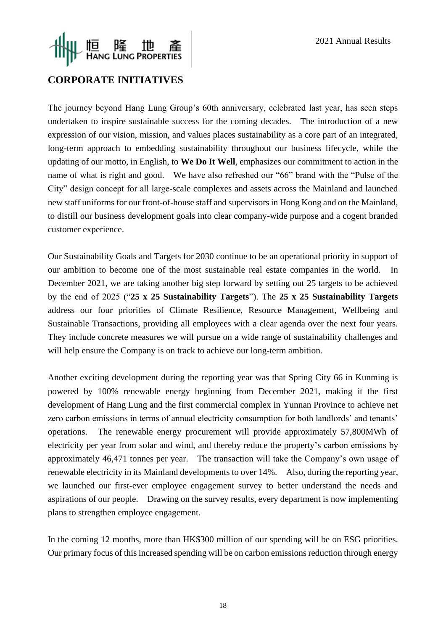# 恒 隆 地 產<br>HANG LUNG PROPERTIES

## **CORPORATE INITIATIVES**

The journey beyond Hang Lung Group's 60th anniversary, celebrated last year, has seen steps undertaken to inspire sustainable success for the coming decades. The introduction of a new expression of our vision, mission, and values places sustainability as a core part of an integrated, long-term approach to embedding sustainability throughout our business lifecycle, while the updating of our motto, in English, to **We Do It Well**, emphasizes our commitment to action in the name of what is right and good. We have also refreshed our "66" brand with the "Pulse of the City" design concept for all large-scale complexes and assets across the Mainland and launched new staff uniforms for our front-of-house staff and supervisors in Hong Kong and on the Mainland, to distill our business development goals into clear company-wide purpose and a cogent branded customer experience.

Our Sustainability Goals and Targets for 2030 continue to be an operational priority in support of our ambition to become one of the most sustainable real estate companies in the world. In December 2021, we are taking another big step forward by setting out 25 targets to be achieved by the end of 2025 ("**25 x 25 Sustainability Targets**"). The **25 x 25 Sustainability Targets** address our four priorities of Climate Resilience, Resource Management, Wellbeing and Sustainable Transactions, providing all employees with a clear agenda over the next four years. They include concrete measures we will pursue on a wide range of sustainability challenges and will help ensure the Company is on track to achieve our long-term ambition.

Another exciting development during the reporting year was that Spring City 66 in Kunming is powered by 100% renewable energy beginning from December 2021, making it the first development of Hang Lung and the first commercial complex in Yunnan Province to achieve net zero carbon emissions in terms of annual electricity consumption for both landlords' and tenants' operations. The renewable energy procurement will provide approximately 57,800MWh of electricity per year from solar and wind, and thereby reduce the property's carbon emissions by approximately 46,471 tonnes per year. The transaction will take the Company's own usage of renewable electricity in its Mainland developments to over 14%. Also, during the reporting year, we launched our first-ever employee engagement survey to better understand the needs and aspirations of our people. Drawing on the survey results, every department is now implementing plans to strengthen employee engagement.

In the coming 12 months, more than HK\$300 million of our spending will be on ESG priorities. Our primary focus of this increased spending will be on carbon emissions reduction through energy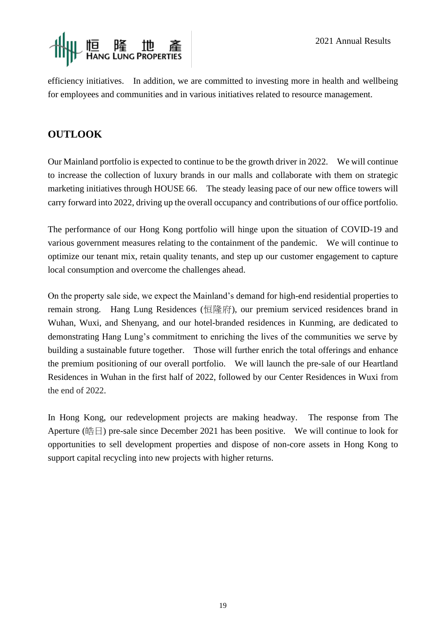

efficiency initiatives. In addition, we are committed to investing more in health and wellbeing for employees and communities and in various initiatives related to resource management.

## **OUTLOOK**

Our Mainland portfolio is expected to continue to be the growth driver in 2022. We will continue to increase the collection of luxury brands in our malls and collaborate with them on strategic marketing initiatives through HOUSE 66. The steady leasing pace of our new office towers will carry forward into 2022, driving up the overall occupancy and contributions of our office portfolio.

The performance of our Hong Kong portfolio will hinge upon the situation of COVID-19 and various government measures relating to the containment of the pandemic. We will continue to optimize our tenant mix, retain quality tenants, and step up our customer engagement to capture local consumption and overcome the challenges ahead.

On the property sale side, we expect the Mainland's demand for high-end residential properties to remain strong. Hang Lung Residences (恒隆府), our premium serviced residences brand in Wuhan, Wuxi, and Shenyang, and our hotel-branded residences in Kunming, are dedicated to demonstrating Hang Lung's commitment to enriching the lives of the communities we serve by building a sustainable future together. Those will further enrich the total offerings and enhance the premium positioning of our overall portfolio. We will launch the pre-sale of our Heartland Residences in Wuhan in the first half of 2022, followed by our Center Residences in Wuxi from the end of 2022.

In Hong Kong, our redevelopment projects are making headway. The response from The Aperture (皓日) pre-sale since December 2021 has been positive. We will continue to look for opportunities to sell development properties and dispose of non-core assets in Hong Kong to support capital recycling into new projects with higher returns.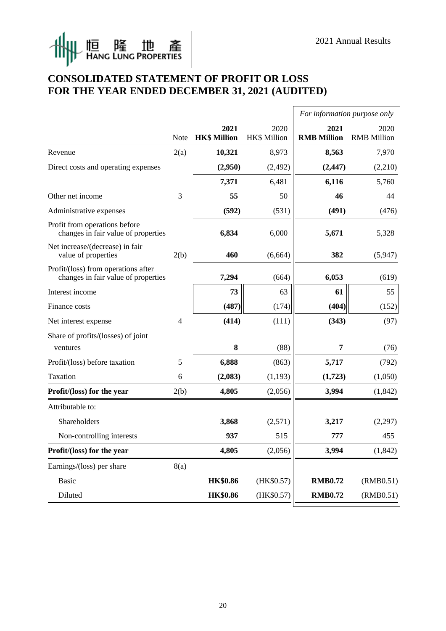$\mathsf{r}$ 

# ||「恒 隆 地 產<br>||「HANG LUNG PROPERTIES  $\mathbb{R}$

## **CONSOLIDATED STATEMENT OF PROFIT OR LOSS FOR THE YEAR ENDED DECEMBER 31, 2021 (AUDITED)**

|                                                                            |             |                             |                             | For information purpose only |                            |
|----------------------------------------------------------------------------|-------------|-----------------------------|-----------------------------|------------------------------|----------------------------|
|                                                                            | <b>Note</b> | 2021<br><b>HK\$ Million</b> | 2020<br><b>HK\$ Million</b> | 2021<br><b>RMB Million</b>   | 2020<br><b>RMB</b> Million |
| Revenue                                                                    | 2(a)        | 10,321                      | 8,973                       | 8,563                        | 7,970                      |
| Direct costs and operating expenses                                        |             | (2,950)                     | (2, 492)                    | (2, 447)                     | (2,210)                    |
|                                                                            |             | 7,371                       | 6,481                       | 6,116                        | 5,760                      |
| Other net income                                                           | 3           | 55                          | 50                          | 46                           | 44                         |
| Administrative expenses                                                    |             | (592)                       | (531)                       | (491)                        | (476)                      |
| Profit from operations before<br>changes in fair value of properties       |             | 6,834                       | 6,000                       | 5,671                        | 5,328                      |
| Net increase/(decrease) in fair<br>value of properties                     | 2(b)        | 460                         | (6,664)                     | 382                          | (5,947)                    |
| Profit/(loss) from operations after<br>changes in fair value of properties |             | 7,294                       | (664)                       | 6,053                        | (619)                      |
| Interest income                                                            |             | 73                          | 63                          | 61                           | 55                         |
| Finance costs                                                              |             | (487)                       | (174)                       | (404)                        | (152)                      |
| Net interest expense                                                       | 4           | (414)                       | (111)                       | (343)                        | (97)                       |
| Share of profits/(losses) of joint                                         |             |                             |                             |                              |                            |
| ventures                                                                   |             | 8                           | (88)                        | 7                            | (76)                       |
| Profit/(loss) before taxation                                              | 5           | 6,888                       | (863)                       | 5,717                        | (792)                      |
| Taxation                                                                   | 6           | (2,083)                     | (1, 193)                    | (1,723)                      | (1,050)                    |
| Profit/(loss) for the year                                                 | 2(b)        | 4,805                       | (2,056)                     | 3,994                        | (1, 842)                   |
| Attributable to:                                                           |             |                             |                             |                              |                            |
| Shareholders                                                               |             | 3,868                       | (2,571)                     | 3,217                        | (2,297)                    |
| Non-controlling interests                                                  |             | 937                         | 515                         | 777                          | 455                        |
| Profit/(loss) for the year                                                 |             | 4,805                       | (2,056)                     | 3,994                        | (1, 842)                   |
| Earnings/(loss) per share                                                  | 8(a)        |                             |                             |                              |                            |
| Basic                                                                      |             | <b>HK\$0.86</b>             | (HK\$0.57)                  | <b>RMB0.72</b>               | (RMB0.51)                  |
| Diluted                                                                    |             | <b>HK\$0.86</b>             | (HK\$0.57)                  | <b>RMB0.72</b>               | (RMB0.51)                  |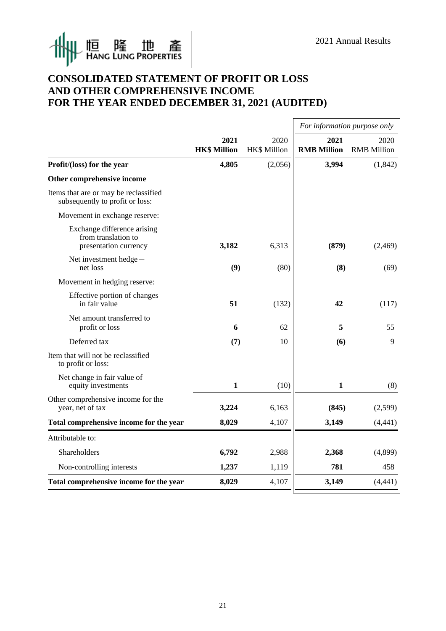

## **CONSOLIDATED STATEMENT OF PROFIT OR LOSS AND OTHER COMPREHENSIVE INCOME FOR THE YEAR ENDED DECEMBER 31, 2021 (AUDITED)**

|                                                                             |                             |                             | For information purpose only |                            |
|-----------------------------------------------------------------------------|-----------------------------|-----------------------------|------------------------------|----------------------------|
|                                                                             | 2021<br><b>HK\$ Million</b> | 2020<br><b>HK\$ Million</b> | 2021<br><b>RMB Million</b>   | 2020<br><b>RMB</b> Million |
| Profit/(loss) for the year                                                  | 4,805                       | (2,056)                     | 3,994                        | (1, 842)                   |
| Other comprehensive income                                                  |                             |                             |                              |                            |
| Items that are or may be reclassified<br>subsequently to profit or loss:    |                             |                             |                              |                            |
| Movement in exchange reserve:                                               |                             |                             |                              |                            |
| Exchange difference arising<br>from translation to<br>presentation currency | 3,182                       | 6,313                       | (879)                        | (2, 469)                   |
| Net investment hedge-<br>net loss                                           | (9)                         | (80)                        | (8)                          | (69)                       |
| Movement in hedging reserve:                                                |                             |                             |                              |                            |
| Effective portion of changes<br>in fair value                               | 51                          | (132)                       | 42                           | (117)                      |
| Net amount transferred to<br>profit or loss                                 | 6                           | 62                          | 5                            | 55                         |
| Deferred tax                                                                | (7)                         | 10                          | (6)                          | 9                          |
| Item that will not be reclassified<br>to profit or loss:                    |                             |                             |                              |                            |
| Net change in fair value of<br>equity investments                           | $\mathbf{1}$                | (10)                        | $\mathbf{1}$                 | (8)                        |
| Other comprehensive income for the<br>year, net of tax                      | 3,224                       | 6,163                       | (845)                        | (2,599)                    |
| Total comprehensive income for the year                                     | 8,029                       | 4,107                       | 3,149                        | (4, 441)                   |
| Attributable to:                                                            |                             |                             |                              |                            |
| Shareholders                                                                | 6,792                       | 2,988                       | 2,368                        | (4,899)                    |
| Non-controlling interests                                                   | 1,237                       | 1,119                       | 781                          | 458                        |
| Total comprehensive income for the year                                     | 8,029                       | 4,107                       | 3,149                        | (4, 441)                   |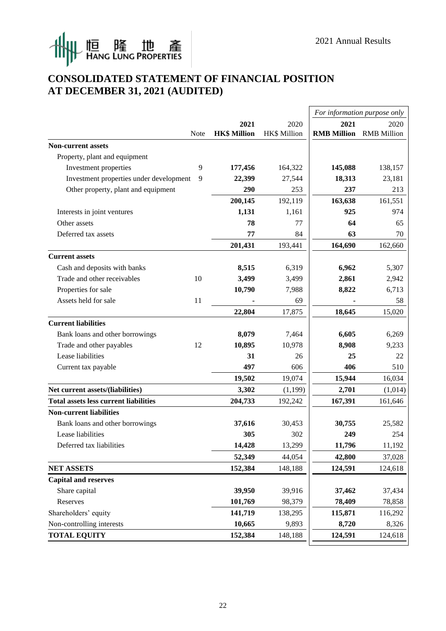

## **CONSOLIDATED STATEMENT OF FINANCIAL POSITION AT DECEMBER 31, 2021 (AUDITED)**

|                                              |             |                     |                     |                                | For information purpose only |
|----------------------------------------------|-------------|---------------------|---------------------|--------------------------------|------------------------------|
|                                              |             | 2021                | 2020                | 2021                           | 2020                         |
|                                              | <b>Note</b> | <b>HK\$ Million</b> | <b>HK\$ Million</b> | <b>RMB Million</b> RMB Million |                              |
| <b>Non-current assets</b>                    |             |                     |                     |                                |                              |
| Property, plant and equipment                |             |                     |                     |                                |                              |
| Investment properties                        | 9           | 177,456             | 164,322             | 145,088                        | 138,157                      |
| Investment properties under development      | 9           | 22,399              | 27,544              | 18,313                         | 23,181                       |
| Other property, plant and equipment          |             | 290                 | 253                 | 237                            | 213                          |
|                                              |             | 200,145             | 192,119             | 163,638                        | 161,551                      |
| Interests in joint ventures                  |             | 1,131               | 1,161               | 925                            | 974                          |
| Other assets                                 |             | 78                  | 77                  | 64                             | 65                           |
| Deferred tax assets                          |             | 77                  | 84                  | 63                             | 70                           |
|                                              |             | 201,431             | 193,441             | 164,690                        | 162,660                      |
| <b>Current assets</b>                        |             |                     |                     |                                |                              |
| Cash and deposits with banks                 |             | 8,515               | 6,319               | 6,962                          | 5,307                        |
| Trade and other receivables                  | 10          | 3,499               | 3,499               | 2,861                          | 2,942                        |
| Properties for sale                          |             | 10,790              | 7,988               | 8,822                          | 6,713                        |
| Assets held for sale                         | 11          |                     | 69                  |                                | 58                           |
|                                              |             | 22,804              | 17,875              | 18,645                         | 15,020                       |
| <b>Current liabilities</b>                   |             |                     |                     |                                |                              |
| Bank loans and other borrowings              |             | 8,079               | 7,464               | 6,605                          | 6,269                        |
| Trade and other payables                     | 12          | 10,895              | 10,978              | 8,908                          | 9,233                        |
| Lease liabilities                            |             | 31                  | 26                  | 25                             | 22                           |
| Current tax payable                          |             | 497                 | 606                 | 406                            | 510                          |
|                                              |             | 19,502              | 19,074              | 15,944                         | 16,034                       |
| Net current assets/(liabilities)             |             | 3,302               | (1,199)             | 2,701                          | (1,014)                      |
| <b>Total assets less current liabilities</b> |             | 204,733             | 192,242             | 167,391                        | 161,646                      |
| <b>Non-current liabilities</b>               |             |                     |                     |                                |                              |
| Bank loans and other borrowings              |             | 37,616              | 30,453              | 30,755                         | 25,582                       |
| Lease liabilities                            |             | 305                 | 302                 | 249                            | 254                          |
| Deferred tax liabilities                     |             | 14,428              | 13,299              | 11,796                         | 11,192                       |
|                                              |             | 52,349              | 44,054              | 42,800                         | 37,028                       |
| <b>NET ASSETS</b>                            |             | 152,384             | 148,188             | 124,591                        | 124,618                      |
| <b>Capital and reserves</b>                  |             |                     |                     |                                |                              |
| Share capital                                |             | 39,950              | 39,916              | 37,462                         | 37,434                       |
| Reserves                                     |             | 101,769             | 98,379              | 78,409                         | 78,858                       |
| Shareholders' equity                         |             | 141,719             | 138,295             | 115,871                        | 116,292                      |
| Non-controlling interests                    |             | 10,665              | 9,893               | 8,720                          | 8,326                        |
| <b>TOTAL EQUITY</b>                          |             | 152,384             | 148,188             | 124,591                        | 124,618                      |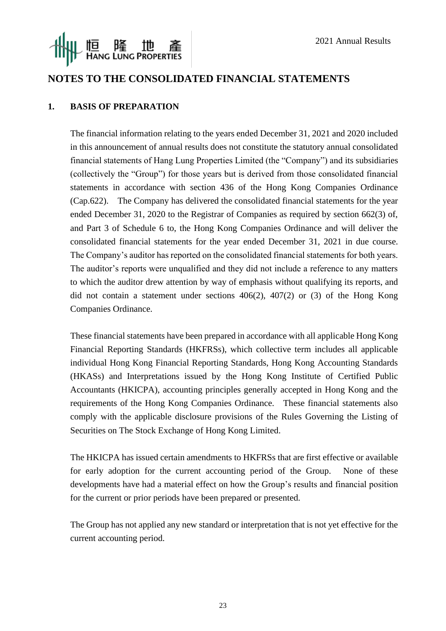

## **NOTES TO THE CONSOLIDATED FINANCIAL STATEMENTS**

#### **1. BASIS OF PREPARATION**

The financial information relating to the years ended December 31, 2021 and 2020 included in this announcement of annual results does not constitute the statutory annual consolidated financial statements of Hang Lung Properties Limited (the "Company") and its subsidiaries (collectively the "Group") for those years but is derived from those consolidated financial statements in accordance with section 436 of the Hong Kong Companies Ordinance (Cap.622). The Company has delivered the consolidated financial statements for the year ended December 31, 2020 to the Registrar of Companies as required by section 662(3) of, and Part 3 of Schedule 6 to, the Hong Kong Companies Ordinance and will deliver the consolidated financial statements for the year ended December 31, 2021 in due course. The Company's auditor has reported on the consolidated financial statements for both years. The auditor's reports were unqualified and they did not include a reference to any matters to which the auditor drew attention by way of emphasis without qualifying its reports, and did not contain a statement under sections 406(2), 407(2) or (3) of the Hong Kong Companies Ordinance.

These financial statements have been prepared in accordance with all applicable Hong Kong Financial Reporting Standards (HKFRSs), which collective term includes all applicable individual Hong Kong Financial Reporting Standards, Hong Kong Accounting Standards (HKASs) and Interpretations issued by the Hong Kong Institute of Certified Public Accountants (HKICPA), accounting principles generally accepted in Hong Kong and the requirements of the Hong Kong Companies Ordinance. These financial statements also comply with the applicable disclosure provisions of the Rules Governing the Listing of Securities on The Stock Exchange of Hong Kong Limited.

The HKICPA has issued certain amendments to HKFRSs that are first effective or available for early adoption for the current accounting period of the Group. None of these developments have had a material effect on how the Group's results and financial position for the current or prior periods have been prepared or presented.

The Group has not applied any new standard or interpretation that is not yet effective for the current accounting period.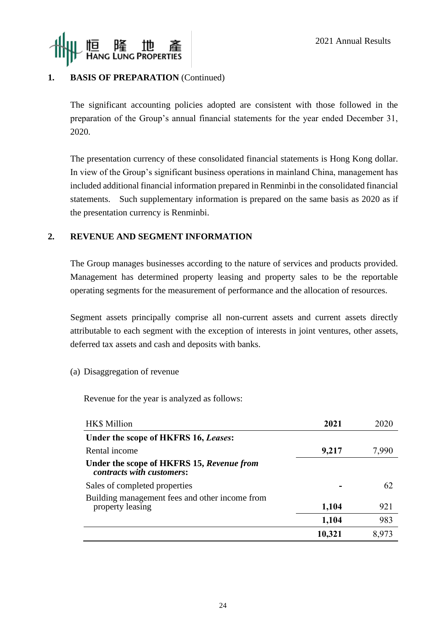

## **1. BASIS OF PREPARATION** (Continued)

The significant accounting policies adopted are consistent with those followed in the preparation of the Group's annual financial statements for the year ended December 31, 2020.

The presentation currency of these consolidated financial statements is Hong Kong dollar. In view of the Group's significant business operations in mainland China, management has included additional financial information prepared in Renminbi in the consolidated financial statements. Such supplementary information is prepared on the same basis as 2020 as if the presentation currency is Renminbi.

#### **2. REVENUE AND SEGMENT INFORMATION**

The Group manages businesses according to the nature of services and products provided. Management has determined property leasing and property sales to be the reportable operating segments for the measurement of performance and the allocation of resources.

Segment assets principally comprise all non-current assets and current assets directly attributable to each segment with the exception of interests in joint ventures, other assets, deferred tax assets and cash and deposits with banks.

#### (a) Disaggregation of revenue

Revenue for the year is analyzed as follows:

| HK\$ Million                                                           | 2021   | 2020  |
|------------------------------------------------------------------------|--------|-------|
| Under the scope of HKFRS 16, Leases:                                   |        |       |
| Rental income                                                          | 9,217  | 7,990 |
| Under the scope of HKFRS 15, Revenue from<br>contracts with customers: |        |       |
| Sales of completed properties                                          |        | 62    |
| Building management fees and other income from<br>property leasing     | 1,104  | 921   |
|                                                                        | 1,104  | 983   |
|                                                                        | 10,321 | 8,973 |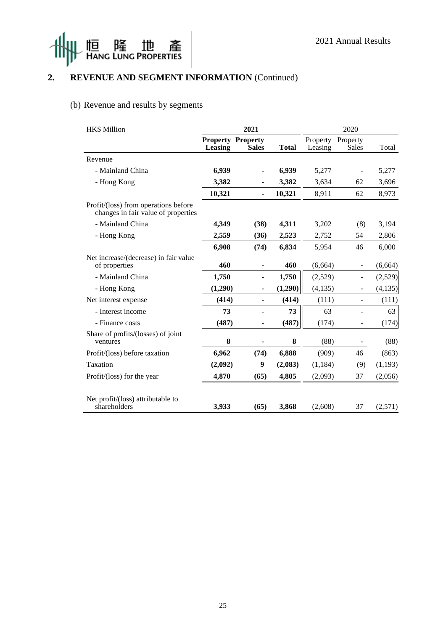



## **2. REVENUE AND SEGMENT INFORMATION** (Continued)

## (b) Revenue and results by segments

| <b>HK\$ Million</b>                                                         |         | 2021                                     |              |                     | 2020              |          |
|-----------------------------------------------------------------------------|---------|------------------------------------------|--------------|---------------------|-------------------|----------|
|                                                                             | Leasing | <b>Property Property</b><br><b>Sales</b> | <b>Total</b> | Property<br>Leasing | Property<br>Sales | Total    |
| Revenue                                                                     |         |                                          |              |                     |                   |          |
| - Mainland China                                                            | 6,939   | $\overline{\phantom{a}}$                 | 6,939        | 5,277               |                   | 5,277    |
| - Hong Kong                                                                 | 3,382   | ۰                                        | 3,382        | 3,634               | 62                | 3,696    |
|                                                                             | 10,321  | $\qquad \qquad \blacksquare$             | 10,321       | 8,911               | 62                | 8,973    |
| Profit/(loss) from operations before<br>changes in fair value of properties |         |                                          |              |                     |                   |          |
| - Mainland China                                                            | 4,349   | (38)                                     | 4,311        | 3,202               | (8)               | 3,194    |
| - Hong Kong                                                                 | 2,559   | (36)                                     | 2,523        | 2,752               | 54                | 2,806    |
|                                                                             | 6,908   | (74)                                     | 6,834        | 5,954               | 46                | 6,000    |
| Net increase/(decrease) in fair value<br>of properties                      | 460     | ÷,                                       | 460          | (6,664)             | $\blacksquare$    | (6, 664) |
| - Mainland China                                                            | 1,750   | ۰                                        | 1,750        | (2,529)             | ÷,                | (2,529)  |
| - Hong Kong                                                                 | (1,290) | $\overline{\phantom{a}}$                 | (1,290)      | (4, 135)            | $\blacksquare$    | (4,135)  |
| Net interest expense                                                        | (414)   | ٠                                        | (414)        | (111)               | $\blacksquare$    | (111)    |
| - Interest income                                                           | 73      |                                          | 73           | 63                  |                   | 63       |
| - Finance costs                                                             | (487)   | ۰                                        | (487)        | (174)               |                   | (174)    |
| Share of profits/(losses) of joint<br>ventures                              | 8       | ۰                                        | 8            | (88)                | $\blacksquare$    | (88)     |
| Profit/(loss) before taxation                                               | 6,962   | (74)                                     | 6,888        | (909)               | 46                | (863)    |
| Taxation                                                                    | (2,092) | 9                                        | (2,083)      | (1, 184)            | (9)               | (1, 193) |
| Profit/(loss) for the year                                                  | 4,870   | (65)                                     | 4,805        | (2,093)             | 37                | (2,056)  |
| Net profit/(loss) attributable to<br>shareholders                           | 3,933   | (65)                                     | 3,868        | (2,608)             | 37                | (2,571)  |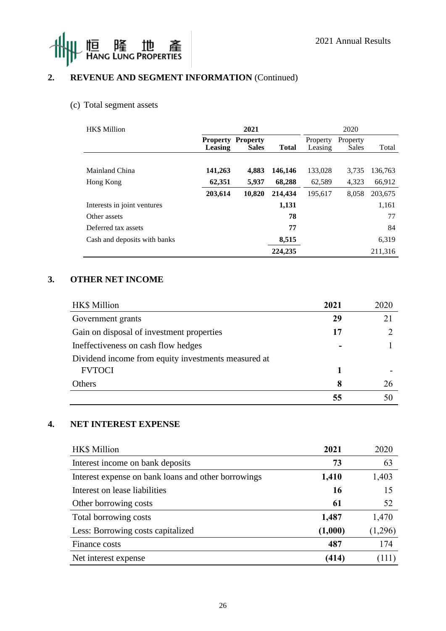



## **2. REVENUE AND SEGMENT INFORMATION** (Continued)

## (c) Total segment assets

| <b>HK\$</b> Million          |                            | 2021                            |              |                     | 2020                     |         |
|------------------------------|----------------------------|---------------------------------|--------------|---------------------|--------------------------|---------|
|                              | <b>Property</b><br>Leasing | <b>Property</b><br><b>Sales</b> | <b>Total</b> | Property<br>Leasing | Property<br><b>Sales</b> | Total   |
|                              |                            |                                 |              |                     |                          |         |
| Mainland China               | 141,263                    | 4,883                           | 146,146      | 133,028             | 3,735                    | 136.763 |
| Hong Kong                    | 62,351                     | 5,937                           | 68,288       | 62,589              | 4.323                    | 66,912  |
|                              | 203,614                    | 10,820                          | 214,434      | 195,617             | 8,058                    | 203,675 |
| Interests in joint ventures  |                            |                                 | 1,131        |                     |                          | 1,161   |
| Other assets                 |                            |                                 | 78           |                     |                          | 77      |
| Deferred tax assets          |                            |                                 | 77           |                     |                          | 84      |
| Cash and deposits with banks |                            |                                 | 8,515        |                     |                          | 6,319   |
|                              |                            |                                 | 224,235      |                     |                          | 211,316 |

## **3. OTHER NET INCOME**

| HK\$ Million                                        | 2021 | 2020 |
|-----------------------------------------------------|------|------|
| Government grants                                   | 29   |      |
| Gain on disposal of investment properties           | 17   |      |
| Ineffectiveness on cash flow hedges                 |      |      |
| Dividend income from equity investments measured at |      |      |
| <b>FVTOCI</b>                                       |      |      |
| Others                                              | 8    | 26   |
|                                                     |      |      |

#### **4. NET INTEREST EXPENSE**

| HK\$ Million                                        | 2021    | 2020    |
|-----------------------------------------------------|---------|---------|
| Interest income on bank deposits                    | 73      | 63      |
| Interest expense on bank loans and other borrowings | 1,410   | 1,403   |
| Interest on lease liabilities                       | 16      | 15      |
| Other borrowing costs                               | 61      | 52      |
| Total borrowing costs                               | 1,487   | 1,470   |
| Less: Borrowing costs capitalized                   | (1,000) | (1,296) |
| Finance costs                                       | 487     | 174     |
| Net interest expense                                | (414)   | (111)   |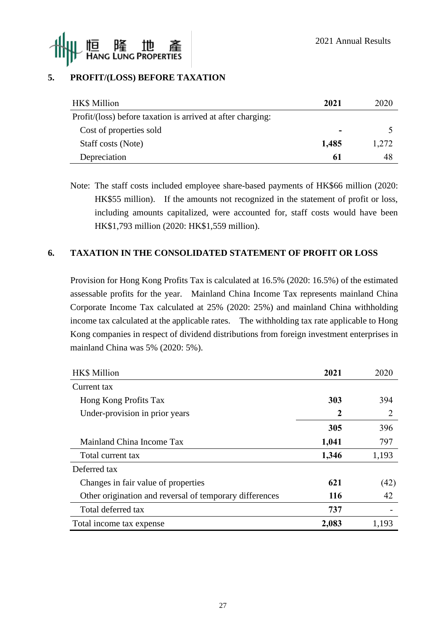

## **5. PROFIT/(LOSS) BEFORE TAXATION**

| HK\$ Million                                                | 2021  | 2020  |
|-------------------------------------------------------------|-------|-------|
| Profit/(loss) before taxation is arrived at after charging: |       |       |
| Cost of properties sold                                     |       |       |
| Staff costs (Note)                                          | 1,485 | 1,272 |
| Depreciation                                                | 61    | 48    |

Note: The staff costs included employee share-based payments of HK\$66 million (2020: HK\$55 million). If the amounts not recognized in the statement of profit or loss, including amounts capitalized, were accounted for, staff costs would have been HK\$1,793 million (2020: HK\$1,559 million).

#### **6. TAXATION IN THE CONSOLIDATED STATEMENT OF PROFIT OR LOSS**

Provision for Hong Kong Profits Tax is calculated at 16.5% (2020: 16.5%) of the estimated assessable profits for the year. Mainland China Income Tax represents mainland China Corporate Income Tax calculated at 25% (2020: 25%) and mainland China withholding income tax calculated at the applicable rates. The withholding tax rate applicable to Hong Kong companies in respect of dividend distributions from foreign investment enterprises in mainland China was 5% (2020: 5%).

| <b>HK\$</b> Million                                     | 2021       | 2020  |
|---------------------------------------------------------|------------|-------|
| Current tax                                             |            |       |
| Hong Kong Profits Tax                                   | 303        | 394   |
| Under-provision in prior years                          | 2          | 2     |
|                                                         | 305        | 396   |
| Mainland China Income Tax                               | 1,041      | 797   |
| Total current tax                                       | 1,346      | 1,193 |
| Deferred tax                                            |            |       |
| Changes in fair value of properties                     | 621        | (42)  |
| Other origination and reversal of temporary differences | <b>116</b> | 42    |
| Total deferred tax                                      | 737        |       |
| Total income tax expense                                | 2,083      | 1,193 |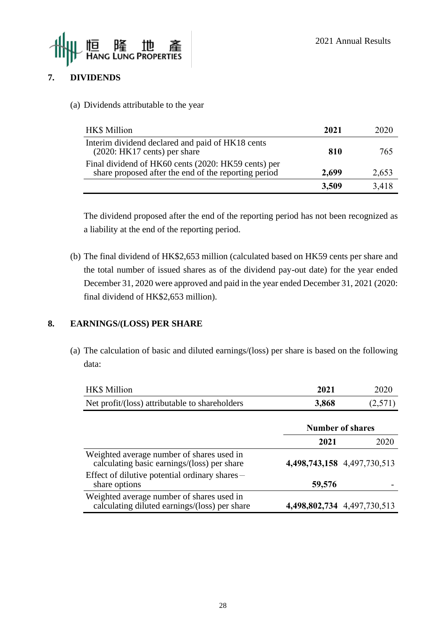

## **7. DIVIDENDS**

(a) Dividends attributable to the year

| <b>HK\$</b> Million                                                                                         | 2021  | 2020  |
|-------------------------------------------------------------------------------------------------------------|-------|-------|
| Interim dividend declared and paid of HK18 cents<br>$(2020:HK17 cents)$ per share                           | 810   | 765   |
| Final dividend of HK60 cents (2020: HK59 cents) per<br>share proposed after the end of the reporting period | 2,699 | 2,653 |
|                                                                                                             | 3,509 | 3,418 |

The dividend proposed after the end of the reporting period has not been recognized as a liability at the end of the reporting period.

(b) The final dividend of HK\$2,653 million (calculated based on HK59 cents per share and the total number of issued shares as of the dividend pay-out date) for the year ended December 31, 2020 were approved and paid in the year ended December 31, 2021 (2020: final dividend of HK\$2,653 million).

#### **8. EARNINGS/(LOSS) PER SHARE**

(a) The calculation of basic and diluted earnings/(loss) per share is based on the following data:

| HK\$ Million                                                                               | 2021   | 2020                        |
|--------------------------------------------------------------------------------------------|--------|-----------------------------|
| Net profit/(loss) attributable to shareholders                                             | 3,868  | (2,571)                     |
|                                                                                            |        | <b>Number of shares</b>     |
|                                                                                            | 2021   | 2020                        |
| Weighted average number of shares used in<br>calculating basic earnings/(loss) per share   |        | 4,498,743,158 4,497,730,513 |
| Effect of dilutive potential ordinary shares -<br>share options                            | 59,576 |                             |
| Weighted average number of shares used in<br>calculating diluted earnings/(loss) per share |        | 4,498,802,734 4,497,730,513 |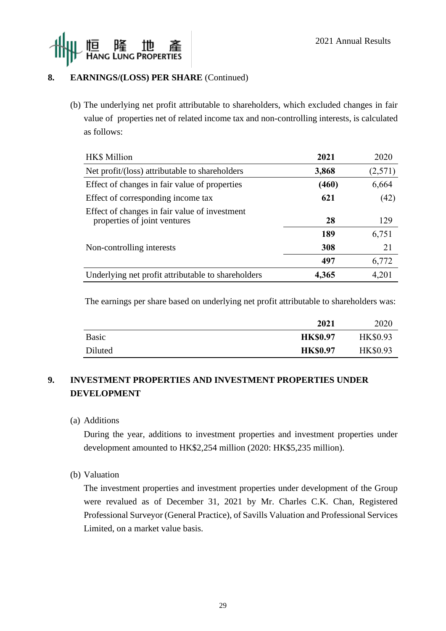

## **8. EARNINGS/(LOSS) PER SHARE** (Continued)

(b) The underlying net profit attributable to shareholders, which excluded changes in fair value of properties net of related income tax and non-controlling interests, is calculated as follows:

| HK\$ Million                                                                  | 2021  | 2020    |
|-------------------------------------------------------------------------------|-------|---------|
| Net profit/(loss) attributable to shareholders                                | 3,868 | (2,571) |
| Effect of changes in fair value of properties                                 | (460) | 6,664   |
| Effect of corresponding income tax                                            | 621   | (42)    |
| Effect of changes in fair value of investment<br>properties of joint ventures | 28    | 129     |
|                                                                               | 189   | 6,751   |
| Non-controlling interests                                                     | 308   | 21      |
|                                                                               | 497   | 6,772   |
| Underlying net profit attributable to shareholders                            | 4,365 | 4,201   |

The earnings per share based on underlying net profit attributable to shareholders was:

|              | 2021            | 2020            |
|--------------|-----------------|-----------------|
| <b>Basic</b> | <b>HK\$0.97</b> | <b>HK\$0.93</b> |
| Diluted      | <b>HK\$0.97</b> | <b>HK\$0.93</b> |

## **9. INVESTMENT PROPERTIES AND INVESTMENT PROPERTIES UNDER DEVELOPMENT**

(a) Additions

During the year, additions to investment properties and investment properties under development amounted to HK\$2,254 million (2020: HK\$5,235 million).

(b) Valuation

The investment properties and investment properties under development of the Group were revalued as of December 31, 2021 by Mr. Charles C.K. Chan, Registered Professional Surveyor (General Practice), of Savills Valuation and Professional Services Limited, on a market value basis.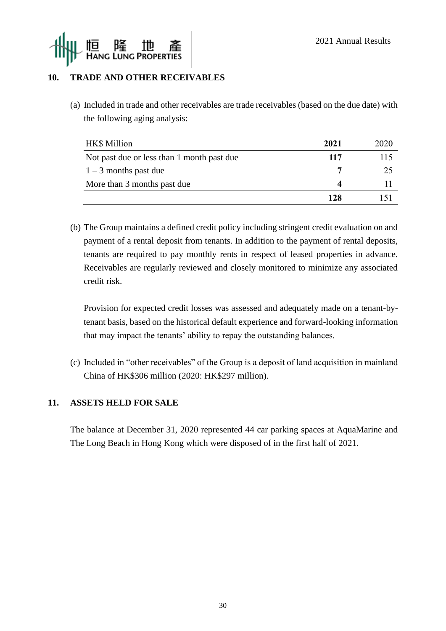

## **10. TRADE AND OTHER RECEIVABLES**

(a) Included in trade and other receivables are trade receivables (based on the due date) with the following aging analysis:

| HK\$ Million                               | 2021 | 2020 |
|--------------------------------------------|------|------|
| Not past due or less than 1 month past due | 117  | 115  |
| $1 - 3$ months past due                    |      | 25   |
| More than 3 months past due                | Δ    |      |
|                                            | 128  |      |

(b) The Group maintains a defined credit policy including stringent credit evaluation on and payment of a rental deposit from tenants. In addition to the payment of rental deposits, tenants are required to pay monthly rents in respect of leased properties in advance. Receivables are regularly reviewed and closely monitored to minimize any associated credit risk.

Provision for expected credit losses was assessed and adequately made on a tenant-bytenant basis, based on the historical default experience and forward-looking information that may impact the tenants' ability to repay the outstanding balances.

(c) Included in "other receivables" of the Group is a deposit of land acquisition in mainland China of HK\$306 million (2020: HK\$297 million).

## **11. ASSETS HELD FOR SALE**

The balance at December 31, 2020 represented 44 car parking spaces at AquaMarine and The Long Beach in Hong Kong which were disposed of in the first half of 2021.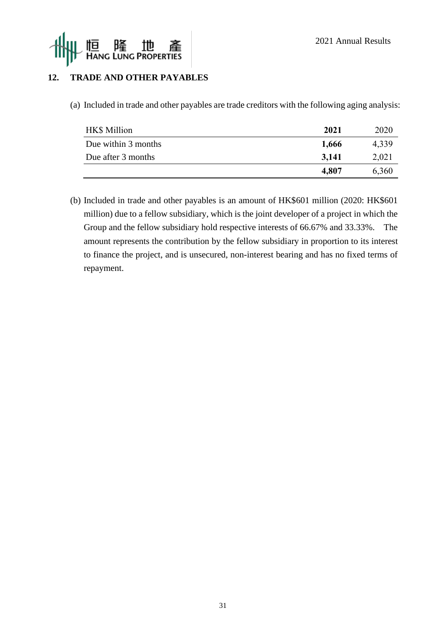

## **12. TRADE AND OTHER PAYABLES**

(a) Included in trade and other payables are trade creditors with the following aging analysis:

| <b>HK\$</b> Million | 2021  | 2020  |
|---------------------|-------|-------|
| Due within 3 months | 1,666 | 4,339 |
| Due after 3 months  | 3,141 | 2,021 |
|                     | 4,807 | 6,360 |

(b) Included in trade and other payables is an amount of HK\$601 million (2020: HK\$601 million) due to a fellow subsidiary, which is the joint developer of a project in which the Group and the fellow subsidiary hold respective interests of 66.67% and 33.33%. The amount represents the contribution by the fellow subsidiary in proportion to its interest to finance the project, and is unsecured, non-interest bearing and has no fixed terms of repayment.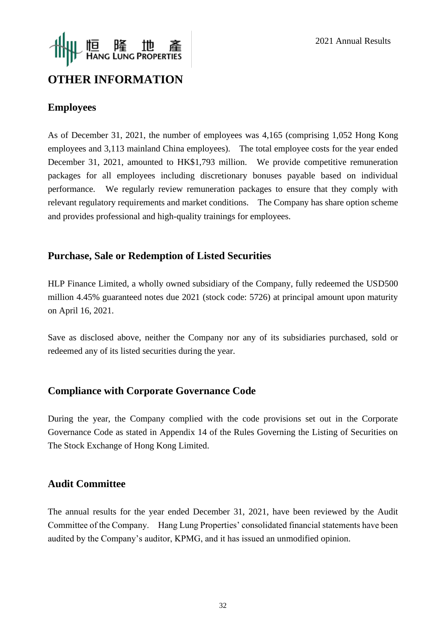

# **OTHER INFORMATION**

## **Employees**

As of December 31, 2021, the number of employees was 4,165 (comprising 1,052 Hong Kong employees and 3,113 mainland China employees). The total employee costs for the year ended December 31, 2021, amounted to HK\$1,793 million. We provide competitive remuneration packages for all employees including discretionary bonuses payable based on individual performance. We regularly review remuneration packages to ensure that they comply with relevant regulatory requirements and market conditions. The Company has share option scheme and provides professional and high-quality trainings for employees.

## **Purchase, Sale or Redemption of Listed Securities**

HLP Finance Limited, a wholly owned subsidiary of the Company, fully redeemed the USD500 million 4.45% guaranteed notes due 2021 (stock code: 5726) at principal amount upon maturity on April 16, 2021.

Save as disclosed above, neither the Company nor any of its subsidiaries purchased, sold or redeemed any of its listed securities during the year.

## **Compliance with Corporate Governance Code**

During the year, the Company complied with the code provisions set out in the Corporate Governance Code as stated in Appendix 14 of the Rules Governing the Listing of Securities on The Stock Exchange of Hong Kong Limited.

## **Audit Committee**

The annual results for the year ended December 31, 2021, have been reviewed by the Audit Committee of the Company. Hang Lung Properties' consolidated financial statements have been audited by the Company's auditor, KPMG, and it has issued an unmodified opinion.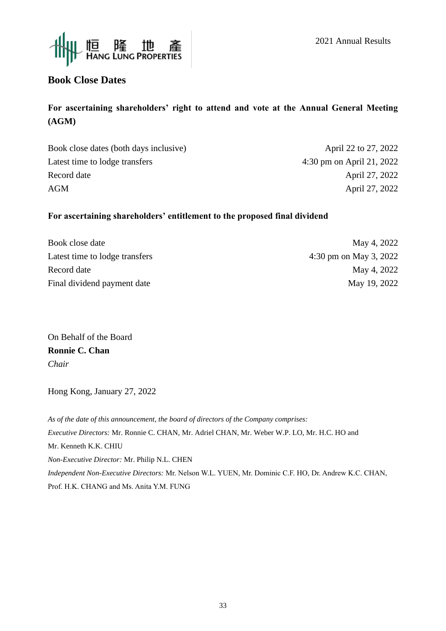



# **Book Close Dates**

## **For ascertaining shareholders' right to attend and vote at the Annual General Meeting (AGM)**

| April 22 to 27, 2022      |
|---------------------------|
| 4:30 pm on April 21, 2022 |
| April 27, 2022            |
| April 27, 2022            |
|                           |

#### **For ascertaining shareholders' entitlement to the proposed final dividend**

| Book close date                | May 4, 2022            |
|--------------------------------|------------------------|
| Latest time to lodge transfers | 4:30 pm on May 3, 2022 |
| Record date                    | May 4, 2022            |
| Final dividend payment date    | May 19, 2022           |

On Behalf of the Board **Ronnie C. Chan** *Chair*

Hong Kong, January 27, 2022

*As of the date of this announcement, the board of directors of the Company comprises: Executive Directors:* Mr. Ronnie C. CHAN, Mr. Adriel CHAN, Mr. Weber W.P. LO, Mr. H.C. HO and Mr. Kenneth K.K. CHIU *Non-Executive Director:* Mr. Philip N.L. CHEN *Independent Non-Executive Directors:* Mr. Nelson W.L. YUEN, Mr. Dominic C.F. HO, Dr. Andrew K.C. CHAN, Prof. H.K. CHANG and Ms. Anita Y.M. FUNG